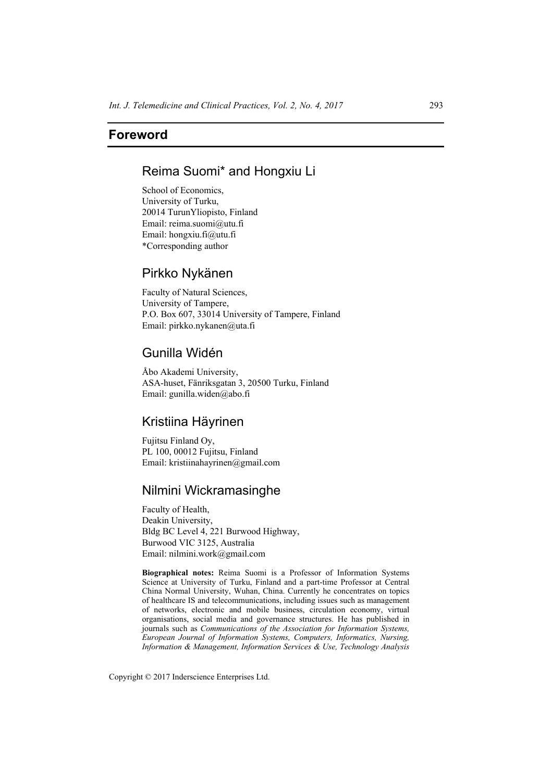## **Foreword**

# Reima Suomi\* and Hongxiu Li

School of Economics, University of Turku, 20014 TurunYliopisto, Finland Email: reima.suomi@utu.fi Email: hongxiu.fi@utu.fi \*Corresponding author

## Pirkko Nykänen

Faculty of Natural Sciences, University of Tampere, P.O. Box 607, 33014 University of Tampere, Finland Email: pirkko.nykanen@uta.fi

# Gunilla Widén

Åbo Akademi University, ASA-huset, Fänriksgatan 3, 20500 Turku, Finland Email: gunilla.widen@abo.fi

### Kristiina Häyrinen

Fujitsu Finland Oy, PL 100, 00012 Fujitsu, Finland Email: kristiinahayrinen@gmail.com

### Nilmini Wickramasinghe

Faculty of Health, Deakin University, Bldg BC Level 4, 221 Burwood Highway, Burwood VIC 3125, Australia Email: nilmini.work@gmail.com

**Biographical notes:** Reima Suomi is a Professor of Information Systems Science at University of Turku, Finland and a part-time Professor at Central China Normal University, Wuhan, China. Currently he concentrates on topics of healthcare IS and telecommunications, including issues such as management of networks, electronic and mobile business, circulation economy, virtual organisations, social media and governance structures. He has published in journals such as *Communications of the Association for Information Systems, European Journal of Information Systems, Computers, Informatics, Nursing, Information & Management, Information Services & Use, Technology Analysis*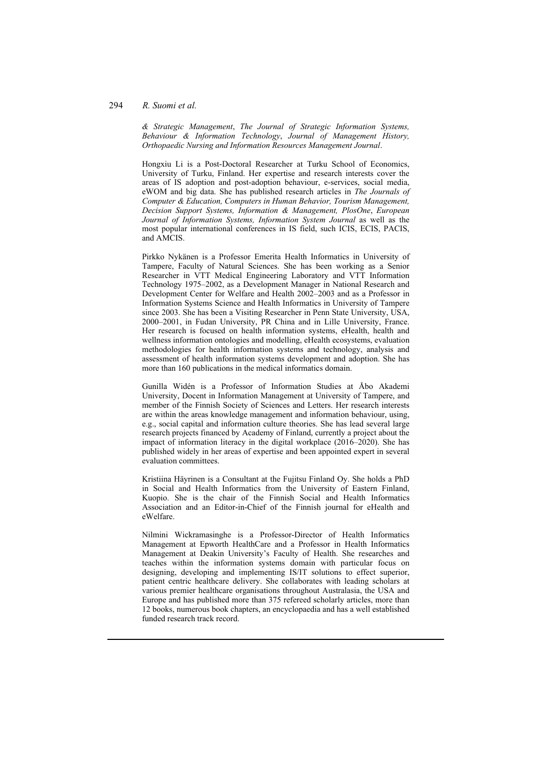### 294 *R. Suomi et al.*

*& Strategic Management*, *The Journal of Strategic Information Systems, Behaviour & Information Technology*, *Journal of Management History, Orthopaedic Nursing and Information Resources Management Journal*.

Hongxiu Li is a Post-Doctoral Researcher at Turku School of Economics, University of Turku, Finland. Her expertise and research interests cover the areas of IS adoption and post-adoption behaviour, e-services, social media, eWOM and big data. She has published research articles in *The Journals of Computer & Education, Computers in Human Behavior, Tourism Management, Decision Support Systems, Information & Management, PlosOne*, *European Journal of Information Systems, Information System Journal* as well as the most popular international conferences in IS field, such ICIS, ECIS, PACIS, and AMCIS.

Pirkko Nykänen is a Professor Emerita Health Informatics in University of Tampere, Faculty of Natural Sciences. She has been working as a Senior Researcher in VTT Medical Engineering Laboratory and VTT Information Technology 1975–2002, as a Development Manager in National Research and Development Center for Welfare and Health 2002–2003 and as a Professor in Information Systems Science and Health Informatics in University of Tampere since 2003. She has been a Visiting Researcher in Penn State University, USA, 2000–2001, in Fudan University, PR China and in Lille University, France. Her research is focused on health information systems, eHealth, health and wellness information ontologies and modelling, eHealth ecosystems, evaluation methodologies for health information systems and technology, analysis and assessment of health information systems development and adoption. She has more than 160 publications in the medical informatics domain.

Gunilla Widén is a Professor of Information Studies at Åbo Akademi University, Docent in Information Management at University of Tampere, and member of the Finnish Society of Sciences and Letters. Her research interests are within the areas knowledge management and information behaviour, using, e.g., social capital and information culture theories. She has lead several large research projects financed by Academy of Finland, currently a project about the impact of information literacy in the digital workplace (2016–2020). She has published widely in her areas of expertise and been appointed expert in several evaluation committees.

Kristiina Häyrinen is a Consultant at the Fujitsu Finland Oy. She holds a PhD in Social and Health Informatics from the University of Eastern Finland, Kuopio. She is the chair of the Finnish Social and Health Informatics Association and an Editor-in-Chief of the Finnish journal for eHealth and eWelfare.

Nilmini Wickramasinghe is a Professor-Director of Health Informatics Management at Epworth HealthCare and a Professor in Health Informatics Management at Deakin University's Faculty of Health. She researches and teaches within the information systems domain with particular focus on designing, developing and implementing IS/IT solutions to effect superior, patient centric healthcare delivery. She collaborates with leading scholars at various premier healthcare organisations throughout Australasia, the USA and Europe and has published more than 375 refereed scholarly articles, more than 12 books, numerous book chapters, an encyclopaedia and has a well established funded research track record.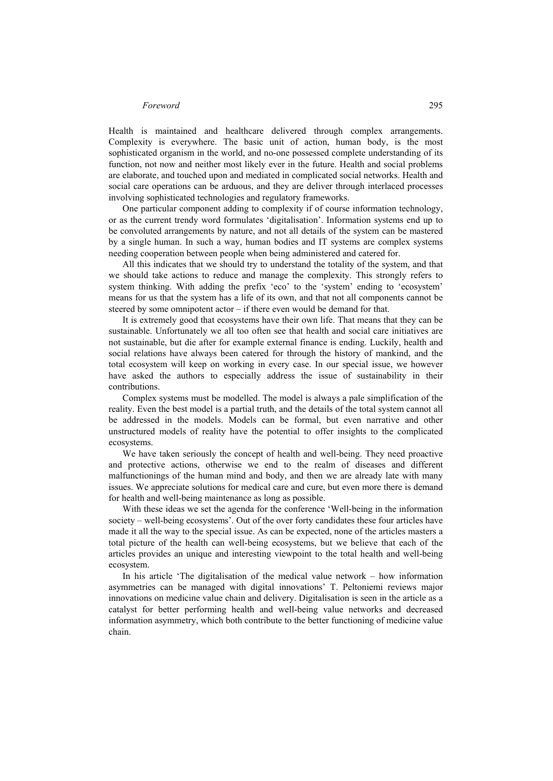#### *Foreword* 295

Health is maintained and healthcare delivered through complex arrangements. Complexity is everywhere. The basic unit of action, human body, is the most sophisticated organism in the world, and no-one possessed complete understanding of its function, not now and neither most likely ever in the future. Health and social problems are elaborate, and touched upon and mediated in complicated social networks. Health and social care operations can be arduous, and they are deliver through interlaced processes involving sophisticated technologies and regulatory frameworks.

One particular component adding to complexity if of course information technology, or as the current trendy word formulates 'digitalisation'. Information systems end up to be convoluted arrangements by nature, and not all details of the system can be mastered by a single human. In such a way, human bodies and IT systems are complex systems needing cooperation between people when being administered and catered for.

All this indicates that we should try to understand the totality of the system, and that we should take actions to reduce and manage the complexity. This strongly refers to system thinking. With adding the prefix 'eco' to the 'system' ending to 'ecosystem' means for us that the system has a life of its own, and that not all components cannot be steered by some omnipotent actor – if there even would be demand for that.

It is extremely good that ecosystems have their own life. That means that they can be sustainable. Unfortunately we all too often see that health and social care initiatives are not sustainable, but die after for example external finance is ending. Luckily, health and social relations have always been catered for through the history of mankind, and the total ecosystem will keep on working in every case. In our special issue, we however have asked the authors to especially address the issue of sustainability in their contributions.

Complex systems must be modelled. The model is always a pale simplification of the reality. Even the best model is a partial truth, and the details of the total system cannot all be addressed in the models. Models can be formal, but even narrative and other unstructured models of reality have the potential to offer insights to the complicated ecosystems.

We have taken seriously the concept of health and well-being. They need proactive and protective actions, otherwise we end to the realm of diseases and different malfunctionings of the human mind and body, and then we are already late with many issues. We appreciate solutions for medical care and cure, but even more there is demand for health and well-being maintenance as long as possible.

With these ideas we set the agenda for the conference 'Well-being in the information society – well-being ecosystems'. Out of the over forty candidates these four articles have made it all the way to the special issue. As can be expected, none of the articles masters a total picture of the health can well-being ecosystems, but we believe that each of the articles provides an unique and interesting viewpoint to the total health and well-being ecosystem.

In his article 'The digitalisation of the medical value network – how information asymmetries can be managed with digital innovations' T. Peltoniemi reviews major innovations on medicine value chain and delivery. Digitalisation is seen in the article as a catalyst for better performing health and well-being value networks and decreased information asymmetry, which both contribute to the better functioning of medicine value chain.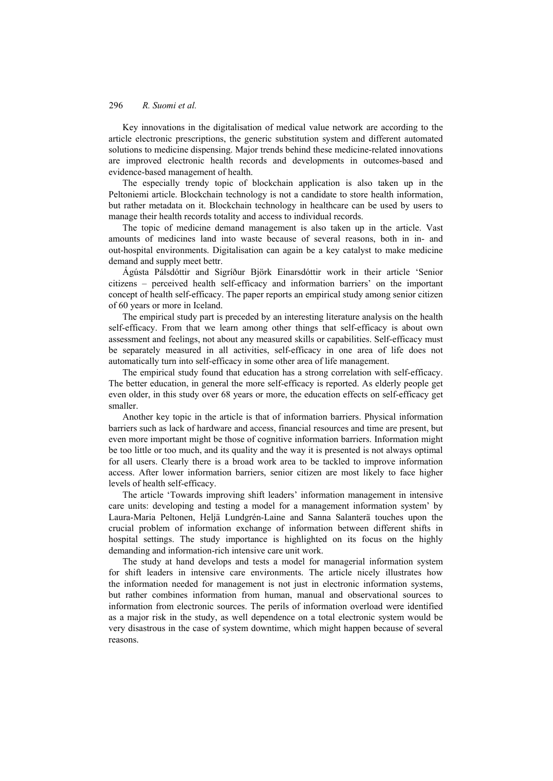### 296 *R. Suomi et al.*

Key innovations in the digitalisation of medical value network are according to the article electronic prescriptions, the generic substitution system and different automated solutions to medicine dispensing. Major trends behind these medicine-related innovations are improved electronic health records and developments in outcomes-based and evidence-based management of health.

The especially trendy topic of blockchain application is also taken up in the Peltoniemi article. Blockchain technology is not a candidate to store health information, but rather metadata on it. Blockchain technology in healthcare can be used by users to manage their health records totality and access to individual records.

The topic of medicine demand management is also taken up in the article. Vast amounts of medicines land into waste because of several reasons, both in in- and out-hospital environments. Digitalisation can again be a key catalyst to make medicine demand and supply meet bettr.

Ágústa Pálsdóttir and Sigríður Björk Einarsdóttir work in their article 'Senior citizens – perceived health self-efficacy and information barriers' on the important concept of health self-efficacy. The paper reports an empirical study among senior citizen of 60 years or more in Iceland.

The empirical study part is preceded by an interesting literature analysis on the health self-efficacy. From that we learn among other things that self-efficacy is about own assessment and feelings, not about any measured skills or capabilities. Self-efficacy must be separately measured in all activities, self-efficacy in one area of life does not automatically turn into self-efficacy in some other area of life management.

The empirical study found that education has a strong correlation with self-efficacy. The better education, in general the more self-efficacy is reported. As elderly people get even older, in this study over 68 years or more, the education effects on self-efficacy get smaller.

Another key topic in the article is that of information barriers. Physical information barriers such as lack of hardware and access, financial resources and time are present, but even more important might be those of cognitive information barriers. Information might be too little or too much, and its quality and the way it is presented is not always optimal for all users. Clearly there is a broad work area to be tackled to improve information access. After lower information barriers, senior citizen are most likely to face higher levels of health self-efficacy.

The article 'Towards improving shift leaders' information management in intensive care units: developing and testing a model for a management information system' by Laura-Maria Peltonen, Heljä Lundgrén-Laine and Sanna Salanterä touches upon the crucial problem of information exchange of information between different shifts in hospital settings. The study importance is highlighted on its focus on the highly demanding and information-rich intensive care unit work.

The study at hand develops and tests a model for managerial information system for shift leaders in intensive care environments. The article nicely illustrates how the information needed for management is not just in electronic information systems, but rather combines information from human, manual and observational sources to information from electronic sources. The perils of information overload were identified as a major risk in the study, as well dependence on a total electronic system would be very disastrous in the case of system downtime, which might happen because of several reasons.